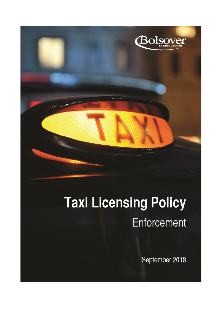

# **Taxi Licensing Policy** Enforcement

September 2018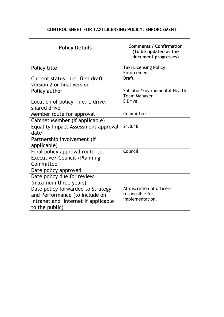# **CONTROL SHEET FOR TAXI LICENSING POLICY: ENFORCEMENT**

| <b>Policy Details</b>                                                                                                        | <b>Comments / Confirmation</b><br>(To be updated as the<br>document progresses) |
|------------------------------------------------------------------------------------------------------------------------------|---------------------------------------------------------------------------------|
| Policy title                                                                                                                 | <b>Taxi Licensing Policy:</b><br>Enforcement                                    |
| Current status - i.e. first draft,<br>version 2 or final version                                                             | <b>Draft</b>                                                                    |
| Policy author                                                                                                                | Solicitor/Environmental Health<br><b>Team Manager</b>                           |
| Location of policy - i.e. L-drive,<br>shared drive                                                                           | S Drive                                                                         |
| Member route for approval                                                                                                    | Committee                                                                       |
| Cabinet Member (if applicable)                                                                                               |                                                                                 |
| Equality Impact Assessment approval<br>date                                                                                  | 21.8.18                                                                         |
| Partnership involvement (if<br>applicable)                                                                                   |                                                                                 |
| Final policy approval route i.e.<br>Executive/ Council / Planning<br>Committee                                               | Council                                                                         |
| Date policy approved                                                                                                         |                                                                                 |
| Date policy due for review<br>(maximum three years)                                                                          |                                                                                 |
| Date policy forwarded to Strategy<br>and Performance (to include on<br>Intranet and Internet if applicable<br>to the public) | At discretion of officers<br>responsible for<br>implementation.                 |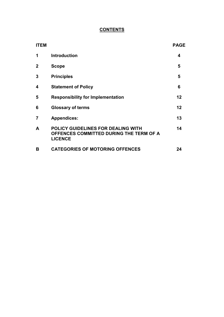# **CONTENTS**

| <b>ITEM</b>    |                                                                                                        | <b>PAGE</b> |
|----------------|--------------------------------------------------------------------------------------------------------|-------------|
| 1              | <b>Introduction</b>                                                                                    | 4           |
| $\mathbf 2$    | <b>Scope</b>                                                                                           | 5           |
| 3              | <b>Principles</b>                                                                                      | 5           |
| 4              | <b>Statement of Policy</b>                                                                             | 6           |
| 5              | <b>Responsibility for Implementation</b>                                                               | 12          |
| 6              | <b>Glossary of terms</b>                                                                               | 12          |
| $\overline{7}$ | <b>Appendices:</b>                                                                                     | 13          |
| A              | <b>POLICY GUIDELINES FOR DEALING WITH</b><br>OFFENCES COMMITTED DURING THE TERM OF A<br><b>LICENCE</b> | 14          |
| В              | <b>CATEGORIES OF MOTORING OFFENCES</b>                                                                 | 24          |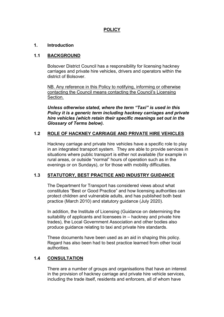# **POLICY**

## **1. Introduction**

## **1.1 BACKGROUND**

Bolsover District Council has a responsibility for licensing hackney carriages and private hire vehicles, drivers and operators within the district of Bolsover.

NB. Any reference in this Policy to notifying, informing or otherwise contacting the Council means contacting the Council's Licensing Section.

*Unless otherwise stated, where the term "Taxi" is used in this Policy it is a generic term including hackney carriages and private hire vehicles (which retain their specific meanings set out in the Glossary of Terms below).*

# **1.2 ROLE OF HACKNEY CARRIAGE AND PRIVATE HIRE VEHICLES**

Hackney carriage and private hire vehicles have a specific role to play in an integrated transport system. They are able to provide services in situations where public transport is either not available (for example in rural areas, or outside "normal" hours of operation such as in the evenings or on Sundays), or for those with mobility difficulties.

## **1.3 STATUTORY, BEST PRACTICE AND INDUSTRY GUIDANCE**

The Department for Transport has considered views about what constitutes "Best or Good Practice" and how licensing authorities can protect children and vulnerable adults, and has published both best practice (March 2010) and statutory guidance (July 2020).

In addition, the Institute of Licensing (Guidance on determining the suitability of applicants and licensees in – hackney and private hire trades), the Local Government Association and other bodies also produce guidance relating to taxi and private hire standards.

These documents have been used as an aid in shaping this policy. Regard has also been had to best practice learned from other local authorities.

## **1.4 CONSULTATION**

There are a number of groups and organisations that have an interest in the provision of hackney carriage and private hire vehicle services, including the trade itself, residents and enforcers, all of whom have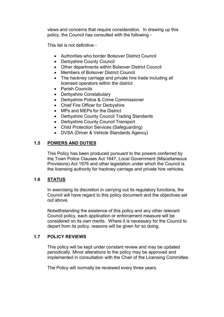views and concerns that require consideration. In drawing up this policy, the Council has consulted with the following -

This list is not definitive -

- Authorities who border Bolsover District Council
- Derbyshire County Council
- Other departments within Bolsover District Council
- Members of Bolsover District Council
- The hackney carriage and private hire trade including all licensed operators within the district
- Parish Councils
- Derbyshire Constabulary
- Derbyshire Police & Crime Commissioner
- Chief Fire Officer for Derbyshire
- MPs and MEPs for the District
- Derbyshire County Council Trading Standards
- Derbyshire County Council Transport
- Child Protection Services (Safeguarding)
- DVSA (Driver & Vehicle Standards Agency)

# **1.5 POWERS AND DUTIES**

This Policy has been produced pursuant to the powers conferred by the Town Police Clauses Act 1847, Local Government (Miscellaneous Provisions) Act 1976 and other legislation under which the Council is the licensing authority for hackney carriage and private hire vehicles.

# **1.6 STATUS**

In exercising its discretion in carrying out its regulatory functions, the Council will have regard to this policy document and the objectives set out above.

Notwithstanding the existence of this policy and any other relevant Council policy, each application or enforcement measure will be considered on its own merits. Where it is necessary for the Council to depart from its policy, reasons will be given for so doing.

# **1.7 POLICY REVIEWS**

This policy will be kept under constant review and may be updated periodically. Minor alterations to the policy may be approved and implemented in consultation with the Chair of the Licensing Committee.

The Policy will normally be reviewed every three years.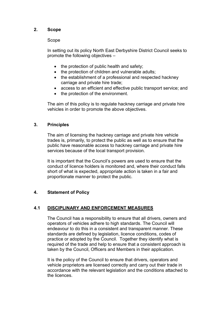# **2. Scope**

## Scope

In setting out its policy North East Derbyshire District Council seeks to promote the following objectives –

- the protection of public health and safety;
- the protection of children and vulnerable adults;
- the establishment of a professional and respected hackney carriage and private hire trade;
- access to an efficient and effective public transport service; and
- the protection of the environment.

The aim of this policy is to regulate hackney carriage and private hire vehicles in order to promote the above objectives.

# **3. Principles**

The aim of licensing the hackney carriage and private hire vehicle trades is, primarily, to protect the public as well as to ensure that the public have reasonable access to hackney carriage and private hire services because of the local transport provision.

It is important that the Council's powers are used to ensure that the conduct of licence holders is monitored and, where their conduct falls short of what is expected, appropriate action is taken in a fair and proportionate manner to protect the public.

# **4. Statement of Policy**

# **4.1 DISCIPLINARY AND ENFORCEMENT MEASURES**

The Council has a responsibility to ensure that all drivers, owners and operators of vehicles adhere to high standards. The Council will endeavour to do this in a consistent and transparent manner. These standards are defined by legislation, licence conditions, codes of practice or adopted by the Council. Together they identify what is required of the trade and help to ensure that a consistent approach is taken by the Council, Officers and Members in their application.

It is the policy of the Council to ensure that drivers, operators and vehicle proprietors are licensed correctly and carry out their trade in accordance with the relevant legislation and the conditions attached to the licences.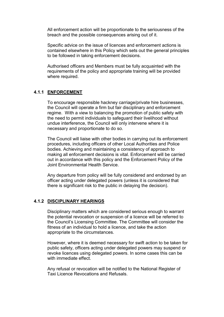All enforcement action will be proportionate to the seriousness of the breach and the possible consequences arising out of it.

Specific advice on the issue of licences and enforcement actions is contained elsewhere in this Policy which sets out the general principles to be followed in taking enforcement decisions.

Authorised officers and Members must be fully acquainted with the requirements of the policy and appropriate training will be provided where required.

## **4.1.1 ENFORCEMENT**

To encourage responsible hackney carriage/private hire businesses, the Council will operate a firm but fair disciplinary and enforcement regime. With a view to balancing the promotion of public safety with the need to permit individuals to safeguard their livelihood without undue interference, the Council will only intervene where it is necessary and proportionate to do so.

The Council will liaise with other bodies in carrying out its enforcement procedures, including officers of other Local Authorities and Police bodies. Achieving and maintaining a consistency of approach to making all enforcement decisions is vital. Enforcement will be carried out in accordance with this policy and the Enforcement Policy of the Joint Environmental Health Service.

Any departure from policy will be fully considered and endorsed by an officer acting under delegated powers (unless it is considered that there is significant risk to the public in delaying the decision).

## **4.1.2 DISCIPLINARY HEARINGS**

Disciplinary matters which are considered serious enough to warrant the potential revocation or suspension of a licence will be referred to the Council's Licensing Committee. The Committee will consider the fitness of an individual to hold a licence, and take the action appropriate to the circumstances.

However, where it is deemed necessary for swift action to be taken for public safety, officers acting under delegated powers may suspend or revoke licences using delegated powers. In some cases this can be with immediate effect.

Any refusal or revocation will be notified to the National Register of Taxi Licence Revocations and Refusals.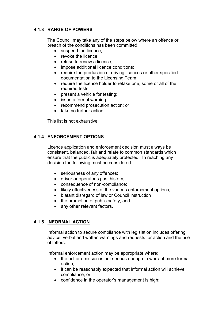# **4.1.3 RANGE OF POWERS**

The Council may take any of the steps below where an offence or breach of the conditions has been committed:

- suspend the licence;
- revoke the licence:
- refuse to renew a licence:
- impose additional licence conditions;
- require the production of driving licences or other specified documentation to the Licensing Team;
- require the licence holder to retake one, some or all of the required tests
- present a vehicle for testing;
- issue a formal warning;
- recommend prosecution action; or
- take no further action

This list is not exhaustive.

# **4.1.4 ENFORCEMENT OPTIONS**

Licence application and enforcement decision must always be consistent, balanced, fair and relate to common standards which ensure that the public is adequately protected. In reaching any decision the following must be considered:

- seriousness of any offences;
- driver or operator's past history;
- consequence of non-compliance;
- likely effectiveness of the various enforcement options;
- blatant disregard of law or Council instruction
- the promotion of public safety; and
- any other relevant factors.

# **4.1.5 INFORMAL ACTION**

Informal action to secure compliance with legislation includes offering advice, verbal and written warnings and requests for action and the use of letters.

Informal enforcement action may be appropriate where:

- the act or omission is not serious enough to warrant more formal action;
- it can be reasonably expected that informal action will achieve compliance; or
- confidence in the operator's management is high;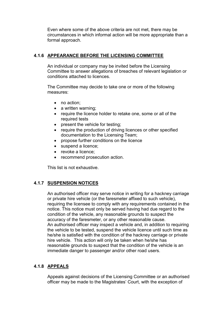Even where some of the above criteria are not met, there may be circumstances in which informal action will be more appropriate than a formal approach.

# **4.1.6 APPEARANCE BEFORE THE LICENSING COMMITTEE**

An individual or company may be invited before the Licensing Committee to answer allegations of breaches of relevant legislation or conditions attached to licences.

The Committee may decide to take one or more of the following measures:

- no action:
- a written warning;
- require the licence holder to retake one, some or all of the required tests
- present the vehicle for testing;
- require the production of driving licences or other specified documentation to the Licensing Team;
- propose further conditions on the licence
- suspend a licence;
- revoke a licence:
- recommend prosecution action.

This list is not exhaustive.

# **4.1.7 SUSPENSION NOTICES**

An authorised officer may serve notice in writing for a hackney carriage or private hire vehicle (or the faresmeter affixed to such vehicle), requiring the licensee to comply with any requirements contained in the notice. This notice must only be served having had due regard to the condition of the vehicle, any reasonable grounds to suspect the accuracy of the faresmeter, or any other reasonable cause. An authorised officer may inspect a vehicle and, in addition to requiring the vehicle to be tested, suspend the vehicle licence until such time as he/she is satisfied with the condition of the hackney carriage or private hire vehicle. This action will only be taken when he/she has reasonable grounds to suspect that the condition of the vehicle is an immediate danger to passenger and/or other road users.

# **4.1.8 APPEALS**

Appeals against decisions of the Licensing Committee or an authorised officer may be made to the Magistrates' Court, with the exception of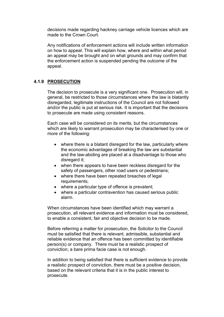decisions made regarding hackney carriage vehicle licences which are made to the Crown Court.

Any notifications of enforcement actions will include written information on how to appeal. This will explain how, where and within what period an appeal may be brought and on what grounds and may confirm that the enforcement action is suspended pending the outcome of the appeal.

# **4.1.9 PROSECUTION**

The decision to prosecute is a very significant one. Prosecution will, in general, be restricted to those circumstances where the law is blatantly disregarded, legitimate instructions of the Council are not followed and/or the public is put at serious risk. It is important that the decisions to prosecute are made using consistent reasons.

Each case will be considered on its merits, but the circumstances which are likely to warrant prosecution may be characterised by one or more of the following:

- where there is a blatant disregard for the law, particularly where the economic advantages of breaking the law are substantial and the law-abiding are placed at a disadvantage to those who disregard it;
- when there appears to have been reckless disregard for the safety of passengers, other road users or pedestrians;
- where there have been repeated breaches of legal requirements;
- where a particular type of offence is prevalent;
- where a particular contravention has caused serious public alarm.

When circumstances have been identified which may warrant a prosecution, all relevant evidence and information must be considered, to enable a consistent, fair and objective decision to be made.

Before referring a matter for prosecution, the Solicitor to the Council must be satisfied that there is relevant, admissible, substantial and reliable evidence that an offence has been committed by identifiable person(s) or company. There must be a realistic prospect of conviction; a bare prima facie case is not enough.

In addition to being satisfied that there is sufficient evidence to provide a realistic prospect of conviction, there must be a positive decision, based on the relevant criteria that it is in the public interest to prosecute.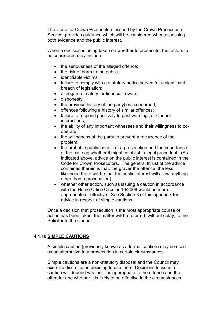The Code for Crown Prosecutors, issued by the Crown Prosecution Service, provides guidance which will be considered when assessing both evidence and the public interest.

When a decision is being taken on whether to prosecute, the factors to be considered may include -

- the seriousness of the alleged offence;
- the risk of harm to the public;
- identifiable victims:
- failure to comply with a statutory notice served for a significant breach of legislation;
- disregard of safety for financial reward;
- dishonesty:
- $\bullet$  the previous history of the party(ies) concerned;
- offences following a history of similar offences;
- failure to respond positively to past warnings or Council instructions;
- the ability of any important witnesses and their willingness to cooperate;
- the willingness of the party to prevent a recurrence of the problem;
- the probable public benefit of a prosecution and the importance of the case eg whether it might establish a legal precedent. (As indicated above, advice on the public interest is contained in the Code for Crown Prosecutors. The general thrust of the advice contained therein is that, the graver the offence, the less likelihood there will be that the public interest will allow anything other than a prosecution);
- whether other action, such as issuing a caution in accordance with the Home Office Circular 16/2008 would be more appropriate or effective. See Section 8 of this appendix for advice in respect of simple cautions.

Once a decision that prosecution is the most appropriate course of action has been taken, the matter will be referred, without delay, to the Solicitor to the Council.

## **4.1.10 SIMPLE CAUTIONS**

A simple caution (previously known as a formal caution) may be used as an alternative to a prosecution in certain circumstances.

Simple cautions are a non-statutory disposal and the Council may exercise discretion in deciding to use them. Decisions to issue a caution will depend whether it is appropriate to the offence and the offender and whether it is likely to be effective in the circumstances.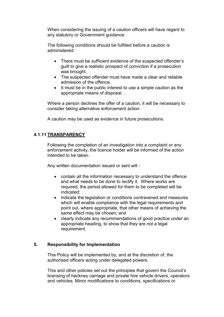When considering the issuing of a caution officers will have regard to any statutory or Government guidance.

The following conditions should be fulfilled before a caution is administered:

- There must be sufficient evidence of the suspected offender's guilt to give a realistic prospect of conviction if a prosecution was brought.
- The suspected offender must have made a clear and reliable admission of the offence.
- It must be in the public interest to use a simple caution as the appropriate means of disposal. .

Where a person declines the offer of a caution, it will be necessary to consider taking alternative enforcement action.

A caution may be used as evidence in future prosecutions.

# **4.1.11 TRANSPARENCY**

Following the completion of an investigation into a complaint or any enforcement activity, the licence holder will be informed of the action intended to be taken.

Any written documentation issued or sent will -

- contain all the information necessary to understand the offence and what needs to be done to rectify it. Where works are required, the period allowed for them to be completed will be indicated;
- indicate the legislation or conditions contravened and measures which will enable compliance with the legal requirements and point out, where appropriate, that other means of achieving the same effect may be chosen; and
- clearly indicate any recommendations of good practice under an appropriate heading, to show that they are not a legal requirement.

# **5. Responsibility for Implementation**

This Policy will be implemented by, and at the discretion of, the authorised officers acting under delegated powers.

This and other policies set out the principles that govern the Council's licensing of hackney carriage and private hire vehicle drivers, operators and vehicles. Minor modifications to conditions, specifications or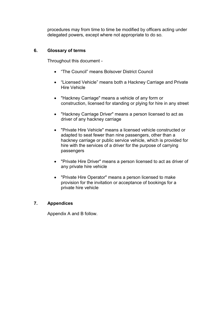procedures may from time to time be modified by officers acting under delegated powers, except where not appropriate to do so.

# **6. Glossary of terms**

Throughout this document -

- "The Council" means Bolsover District Council
- "Licensed Vehicle" means both a Hackney Carriage and Private Hire Vehicle
- "Hackney Carriage" means a vehicle of any form or construction, licensed for standing or plying for hire in any street
- "Hackney Carriage Driver" means a person licensed to act as driver of any hackney carriage
- "Private Hire Vehicle" means a licensed vehicle constructed or adapted to seat fewer than nine passengers, other than a hackney carriage or public service vehicle, which is provided for hire with the services of a driver for the purpose of carrying passengers
- "Private Hire Driver" means a person licensed to act as driver of any private hire vehicle
- "Private Hire Operator" means a person licensed to make provision for the invitation or acceptance of bookings for a private hire vehicle

# **7. Appendices**

Appendix A and B follow.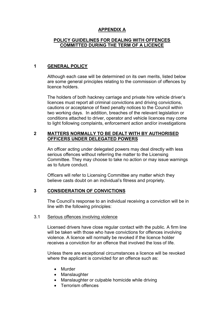# **APPENDIX A**

## **POLICY GUIDELINES FOR DEALING WITH OFFENCES COMMITTED DURING THE TERM OF A LICENCE**

# **1 GENERAL POLICY**

Although each case will be determined on its own merits, listed below are some general principles relating to the commission of offences by licence holders.

The holders of both hackney carriage and private hire vehicle driver's licences must report all criminal convictions and driving convictions, cautions or acceptance of fixed penalty notices to the Council within two working days. In addition, breaches of the relevant legislation or conditions attached to driver, operator and vehicle licences may come to light following complaints, enforcement action and/or investigations

## **2 MATTERS NORMALLY TO BE DEALT WITH BY AUTHORISED OFFICERS UNDER DELEGATED POWERS**

An officer acting under delegated powers may deal directly with less serious offences without referring the matter to the Licensing Committee. They may choose to take no action or may issue warnings as to future conduct.

Officers will refer to Licensing Committee any matter which they believe casts doubt on an individual's fitness and propriety.

## **3 CONSIDERATION OF CONVICTIONS**

The Council's response to an individual receiving a conviction will be in line with the following principles:

#### 3.1 Serious offences involving violence

Licensed drivers have close regular contact with the public. A firm line will be taken with those who have convictions for offences involving violence. A licence will normally be revoked if the licence holder receives a conviction for an offence that involved the loss of life.

Unless there are exceptional circumstances a licence will be revoked where the applicant is convicted for an offence such as:

- Murder
- Manslaughter
- Manslaughter or culpable homicide while driving
- Terrorism offences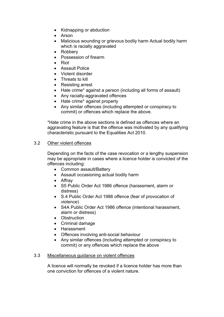- Kidnapping or abduction
- Arson
- Malicious wounding or grievous bodily harm Actual bodily harm which is racially aggravated
- Robberv
- **•** Possession of firearm
- Riot
- **•** Assault Police
- Violent disorder
- Threats to kill
- Resisting arrest
- Hate crime\* against a person (including all forms of assault)
- Any racially-aggravated offences
- Hate crime\* against property
- Any similar offences (including attempted or conspiracy to commit) or offences which replace the above.

\*Hate crime in the above sections is defined as offences where an aggravating feature is that the offence was motivated by any qualifying characteristic pursuant to the Equalities Act 2010.

# 3.2 Other violent offences

Depending on the facts of the case revocation or a lengthy suspension may be appropriate in cases where a licence holder is convicted of the offences including:

- Common assault/Battery
- Assault occasioning actual bodily harm
- Affray
- S5 Public Order Act 1986 offence (harassment, alarm or distress)
- S.4 Public Order Act 1986 offence (fear of provocation of violence)
- S4A Public Order Act 1986 offence (intentional harassment, alarm or distress)
- Obstruction
- Criminal damage
- Harassment
- Offences involving anti-social behaviour
- Any similar offences (including attempted or conspiracy to commit) or any offences which replace the above

## 3.3 Miscellaneous guidance on violent offences

A licence will normally be revoked if a licence holder has more than one conviction for offences of a violent nature.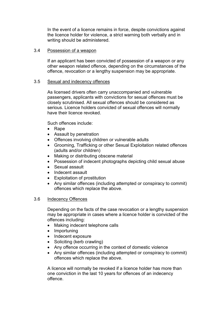In the event of a licence remains in force, despite convictions against the licence holder for violence, a strict warning both verbally and in writing should be administered.

## 3.4 Possession of a weapon

If an applicant has been convicted of possession of a weapon or any other weapon related offence, depending on the circumstances of the offence, revocation or a lengthy suspension may be appropriate.

#### 3.5 Sexual and indecency offences

As licensed drivers often carry unaccompanied and vulnerable passengers, applicants with convictions for sexual offences must be closely scrutinised. All sexual offences should be considered as serious. Licence holders convicted of sexual offences will normally have their licence revoked.

Such offences include:

- Rape
- Assault by penetration
- Offences involving children or vulnerable adults
- Grooming, Trafficking or other Sexual Exploitation related offences (adults and/or children)
- Making or distributing obscene material
- Possession of indecent photographs depicting child sexual abuse
- Sexual assault
- Indecent assault
- Exploitation of prostitution
- Any similar offences (including attempted or conspiracy to commit) offences which replace the above.

#### 3.6 Indecency Offences

Depending on the facts of the case revocation or a lengthy suspension may be appropriate in cases where a licence holder is convicted of the offences including:

- Making indecent telephone calls
- Importuning
- Indecent exposure
- Soliciting (kerb crawling)
- Any offence occurring in the context of domestic violence
- Any similar offences (including attempted or conspiracy to commit) offences which replace the above.

A licence will normally be revoked if a licence holder has more than one conviction in the last 10 years for offences of an indecency offence.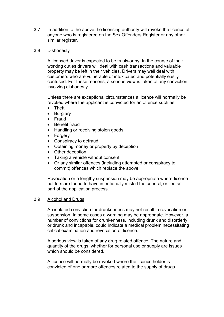3.7 In addition to the above the licensing authority will revoke the licence of anyone who is registered on the Sex Offenders Register or any other similar register.

## 3.8 Dishonesty

A licensed driver is expected to be trustworthy. In the course of their working duties drivers will deal with cash transactions and valuable property may be left in their vehicles. Drivers may well deal with customers who are vulnerable or intoxicated and potentially easily confused. For these reasons, a serious view is taken of any conviction involving dishonesty.

Unless there are exceptional circumstances a licence will normally be revoked where the applicant is convicted for an offence such as

- Theft
- Burglary
- Fraud
- Benefit fraud
- Handling or receiving stolen goods
- Forgery
- Conspiracy to defraud
- Obtaining money or property by deception
- Other deception
- Taking a vehicle without consent
- Or any similar offences (including attempted or conspiracy to commit) offences which replace the above.

Revocation or a lengthy suspension may be appropriate where licence holders are found to have intentionally misled the council, or lied as part of the application process.

#### 3.9 Alcohol and Drugs

An isolated conviction for drunkenness may not result in revocation or suspension. In some cases a warning may be appropriate. However, a number of convictions for drunkenness, including drunk and disorderly or drunk and incapable, could indicate a medical problem necessitating critical examination and revocation of licence.

A serious view is taken of any drug related offence. The nature and quantity of the drugs, whether for personal use or supply are issues which should be considered.

A licence will normally be revoked where the licence holder is convicted of one or more offences related to the supply of drugs.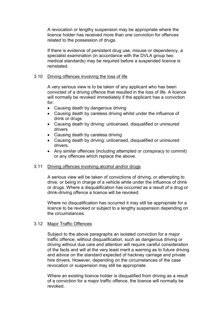A revocation or lengthy suspension may be appropriate where the licence holder has received more than one conviction for offences related to the possession of drugs.

If there is evidence of persistent drug use, misuse or dependency, a specialist examination (in accordance with the DVLA group two medical standards) may be required before a suspended licence is reinstated.

## 3.10 Driving offences involving the loss of life

A very serious view is to be taken of any applicant who has been convicted of a driving offence that resulted in the loss of life. A licence will normally be revoked immediately if the applicant has a conviction for:

- Causing death by dangerous driving
- Causing death by careless driving whilst under the influence of drink or drugs
- Causing death by driving: unlicensed, disqualified or uninsured drivers
- Causing death by careless driving
- Causing death by driving: unlicensed, disqualified or uninsured drivers.
- Any similar offences (including attempted or conspiracy to commit) or any offences which replace the above.

## 3.11 Driving offences involving alcohol and/or drugs

A serious view will be taken of convictions of driving, or attempting to drive, or being in charge of a vehicle while under the influence of drink or drugs. Where a disqualification has occurred as a result of a drug or drink-driving offence a licence will be revoked.

Where no disqualification has occurred it may still be appropriate for a licence to be revoked or subject to a lengthy suspension depending on the circumstances.

## 3.12 Major Traffic Offences

Subject to the above paragraphs an isolated conviction for a major traffic offence, without disqualification, such as dangerous driving or driving without due care and attention will require careful consideration of the facts and will at the very least merit a warning as to future driving and advice on the standard expected of hackney carriage and private hire drivers. However, depending on the circumstances of the case revocation or suspension may still be appropriate.

Where an existing licence holder is disqualified from driving as a result of a conviction for a major traffic offence, the licence will normally be revoked.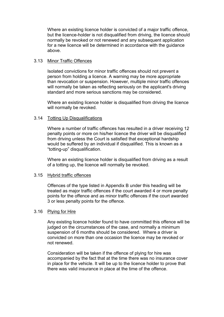Where an existing licence holder is convicted of a major traffic offence, but the licence-holder is not disqualified from driving, the licence should normally be revoked or not renewed and any subsequent application for a new licence will be determined in accordance with the guidance above.

## 3.13 Minor Traffic Offences

Isolated convictions for minor traffic offences should not prevent a person from holding a licence. A warning may be more appropriate than revocation or suspension. However, multiple minor traffic offences will normally be taken as reflecting seriously on the applicant's driving standard and more serious sanctions may be considered.

Where an existing licence holder is disqualified from driving the licence will normally be revoked.

## 3.14 Totting Up Disqualifications

Where a number of traffic offences has resulted in a driver receiving 12 penalty points or more on his/her licence the driver will be disqualified from driving unless the Court is satisfied that exceptional hardship would be suffered by an individual if disqualified. This is known as a "totting-up" disqualification.

Where an existing licence holder is disqualified from driving as a result of a totting up, the licence will normally be revoked.

## 3.15 Hybrid traffic offences

Offences of the type listed in Appendix B under this heading will be treated as major traffic offences if the court awarded 4 or more penalty points for the offence and as minor traffic offences if the court awarded 3 or less penalty points for the offence.

## 3.16 Plying for Hire

Any existing licence holder found to have committed this offence will be judged on the circumstances of the case, and normally a minimum suspension of 6 months should be considered. Where a driver is convicted on more than one occasion the licence may be revoked or not renewed.

Consideration will be taken if the offence of plying for hire was accompanied by the fact that at the time there was no insurance cover in place for the vehicle. It will be up to the licence holder to prove that there was valid insurance in place at the time of the offence.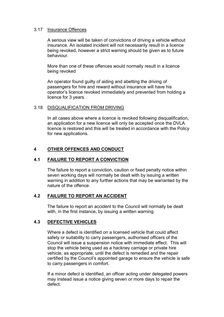## 3.17 Insurance Offences

A serious view will be taken of convictions of driving a vehicle without insurance. An isolated incident will not necessarily result in a licence being revoked, however a strict warning should be given as to future behaviour.

More than one of these offences would normally result in a licence being revoked

An operator found guilty of aiding and abetting the driving of passengers for hire and reward without insurance will have his operator's licence revoked immediately and prevented from holding a licence for 3 years.

## 3.18 DISQUALIFICATION FROM DRIVING

In all cases above where a licence is revoked following disqualification, an application for a new licence will only be accepted once the DVLA licence is restored and this will be treated in accordance with the Policy for new applications.

# **4 OTHER OFFENCES AND CONDUCT**

## **4.1 FAILURE TO REPORT A CONVICTION**

The failure to report a conviction, caution or fixed penalty notice within seven working days will normally be dealt with by issuing a written warning in addition to any further actions that may be warranted by the nature of the offence.

# **4.2 FAILURE TO REPORT AN ACCIDENT**

The failure to report an accident to the Council will normally be dealt with, in the first instance, by issuing a written warning.

## **4.3 DEFECTIVE VEHICLES**

Where a defect is identified on a licensed vehicle that could affect safety or suitability to carry passengers, authorised officers of the Council will issue a suspension notice with immediate effect. This will stop the vehicle being used as a hackney carriage or private hire vehicle, as appropriate, until the defect is remedied and the repair certified by the Council's appointed garage to ensure the vehicle is safe to carry passengers in comfort.

If a minor defect is identified, an officer acting under delegated powers may instead issue a notice giving seven or more days to repair the defect.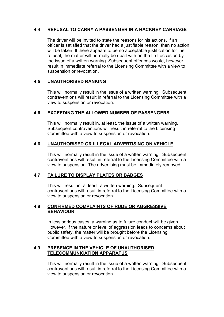# **4.4 REFUSAL TO CARRY A PASSENGER IN A HACKNEY CARRIAGE**

The driver will be invited to state the reasons for his actions. If an officer is satisfied that the driver had a justifiable reason, then no action will be taken. If there appears to be no acceptable justification for the refusal, the matter will normally be dealt with on the first occasion by the issue of a written warning. Subsequent offences would, however, result in immediate referral to the Licensing Committee with a view to suspension or revocation.

# **4.5 UNAUTHORISED RANKING**

This will normally result in the issue of a written warning. Subsequent contraventions will result in referral to the Licensing Committee with a view to suspension or revocation.

# **4.6 EXCEEDING THE ALLOWED NUMBER OF PASSENGERS**

This will normally result in, at least, the issue of a written warning. Subsequent contraventions will result in referral to the Licensing Committee with a view to suspension or revocation.

# **4.6 UNAUTHORISED OR ILLEGAL ADVERTISING ON VEHICLE**

This will normally result in the issue of a written warning. Subsequent contraventions will result in referral to the Licensing Committee with a view to suspension. The advertising must be immediately removed.

# **4.7 FAILURE TO DISPLAY PLATES OR BADGES**

This will result in, at least, a written warning. Subsequent contraventions will result in referral to the Licensing Committee with a view to suspension or revocation.

# **4.8 CONFIRMED COMPLAINTS OF RUDE OR AGGRESSIVE BEHAVIOUR**

In less serious cases, a warning as to future conduct will be given. However, if the nature or level of aggression leads to concerns about public safety, the matter will be brought before the Licensing Committee with a view to suspension or revocation.

# **4.9 PRESENCE IN THE VEHICLE OF UNAUTHORISED TELECOMMUNICATION APPARATUS**

This will normally result in the issue of a written warning. Subsequent contraventions will result in referral to the Licensing Committee with a view to suspension or revocation.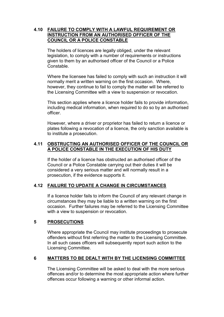# **4.10 FAILURE TO COMPLY WITH A LAWFUL REQUIREMENT OR INSTRUCTION FROM AN AUTHORISED OFFICER OF THE COUNCIL OR A POLICE CONSTABLE**

The holders of licences are legally obliged, under the relevant legislation, to comply with a number of requirements or instructions given to them by an authorised officer of the Council or a Police Constable.

Where the licensee has failed to comply with such an instruction it will normally merit a written warning on the first occasion. Where, however, they continue to fail to comply the matter will be referred to the Licensing Committee with a view to suspension or revocation.

This section applies where a licence holder fails to provide information, including medical information, when required to do so by an authorised officer.

However, where a driver or proprietor has failed to return a licence or plates following a revocation of a licence, the only sanction available is to institute a prosecution.

## **4.11 OBSTRUCTING AN AUTHORISED OFFICER OF THE COUNCIL OR A POLICE CONSTABLE IN THE EXECUTION OF HIS DUTY**

If the holder of a licence has obstructed an authorised officer of the Council or a Police Constable carrying out their duties it will be considered a very serious matter and will normally result in a prosecution, if the evidence supports it.

# **4.12 FAILURE TO UPDATE A CHANGE IN CIRCUMSTANCES**

If a licence holder fails to inform the Council of any relevant change in circumstances they may be liable to a written warning on the first occasion. Further failures may be referred to the Licensing Committee with a view to suspension or revocation.

# **5 PROSECUTIONS**

Where appropriate the Council may institute proceedings to prosecute offenders without first referring the matter to the Licensing Committee. In all such cases officers will subsequently report such action to the Licensing Committee.

# **6 MATTERS TO BE DEALT WITH BY THE LICENSING COMMITTEE**

The Licensing Committee will be asked to deal with the more serious offences and/or to determine the most appropriate action where further offences occur following a warning or other informal action.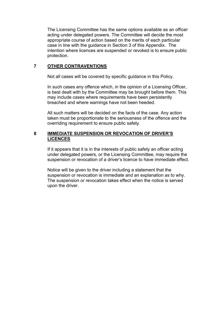The Licensing Committee has the same options available as an officer acting under delegated powers. The Committee will decide the most appropriate course of action based on the merits of each particular case in line with the guidance in Section 3 of this Appendix. The intention where licences are suspended or revoked is to ensure public protection.

## **7 OTHER CONTRAVENTIONS**

Not all cases will be covered by specific guidance in this Policy.

In such cases any offence which, in the opinion of a Licensing Officer, is best dealt with by the Committee may be brought before them. This may include cases where requirements have been persistently breached and where warnings have not been heeded.

All such matters will be decided on the facts of the case. Any action taken must be proportionate to the seriousness of the offence and the overriding requirement to ensure public safety.

# **8 IMMEDIATE SUSPENSION OR REVOCATION OF DRIVER'S LICENCES**

If it appears that it is in the interests of public safety an officer acting under delegated powers, or the Licensing Committee, may require the suspension or revocation of a driver's licence to have immediate effect.

Notice will be given to the driver including a statement that the suspension or revocation is immediate and an explanation as to why. The suspension or revocation takes effect when the notice is served upon the driver.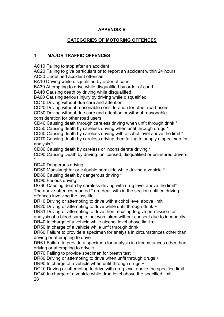# **APPENDIX B**

# **CATEGORIES OF MOTORING OFFENCES**

# **1 MAJOR TRAFFIC OFFENCES**

AC10 Failing to stop after an accident

AC20 Failing to give particulars or to report an accident within 24 hours

AC30 Undefined accident offences

BA10 Driving while disqualified by order of court

BA30 Attempting to drive while disqualified by order of court

BA40 Causing death by driving while disqualified

BA60 Causing serious injury by driving while disqualified

CD10 Driving without due care and attention

CD20 Driving without reasonable consideration for other road users

CD30 Driving without due care and attention or without reasonable consideration for other road users

CD40 Causing death through careless driving when unfit through drink \*

CD50 Causing death by careless driving when unfit through drugs \*

CD60 Causing death by careless driving with alcohol level above the limit \* CD70 Causing death by careless driving then failing to supply a specimen for analysis \*

CD80 Causing death by careless or inconsiderate driving \*

CD90 Causing Death by driving: unlicensed, disqualified or uninsured drivers \*

DD40 Dangerous driving

DD60 Manslaughter or culpable homicide while driving a vehicle \*

DD80 Causing death by dangerous driving \*

DD90 Furious driving

DG60 Causing death by careless driving with drug level above the limit\* The above offences marked \* are dealt with in the section entitled driving offences involving the loss life

DR10 Driving or attempting to drive with alcohol level above limit +

DR20 Driving or attempting to drive while unfit through drink +

DR31 Driving or attempting to drive then refusing to give permission for analysis of a blood sample that was taken without consent due to incapacity DR40 In charge of a vehicle while alcohol level above limit +

DR50 In charge of a vehicle while unfit through drink +

DR60 Failure to provide a specimen for analysis in circumstances other than driving or attempting to drive

DR61 Failure to provide a specimen for analysis in circumstances other than driving or attempting to drive +

DR70 Failing to provide specimen for breath test +

DR80 Driving or attempting to drive when unfit through drugs +

DR90 In charge of a vehicle when unfit through drugs +

DG10 Driving or attempting to drive with drug level above the specified limit

DG40 In charge of a vehicle while drug level above the specified limit 28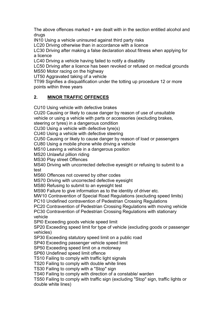The above offences marked + are dealt with in the section entitled alcohol and drugs

IN10 Using a vehicle uninsured against third party risks

LC20 Driving otherwise than in accordance with a licence

LC30 Driving after making a false declaration about fitness when applying for a licence

LC40 Driving a vehicle having failed to notify a disability

LC50 Driving after a licence has been revoked or refused on medical grounds MS50 Motor racing on the highway

UT50 Aggravated taking of a vehicle

TT99 Signifies a disqualification under the totting up procedure 12 or more points within three years

# **2. MINOR TRAFFIC OFFENCES**

CU10 Using vehicle with defective brakes

CU20 Causing or likely to cause danger by reason of use of unsuitable vehicle or using a vehicle with parts or accessories (excluding brakes,

steering or tyres) in a dangerous condition

CU30 Using a vehicle with defective tyre(s)

CU40 Using a vehicle with defective steering

CU50 Causing or likely to cause danger by reason of load or passengers

CU80 Using a mobile phone while driving a vehicle

MS10 Leaving a vehicle in a dangerous position

MS20 Unlawful pillion riding

MS30 Play street Offences

MS40 Driving with uncorrected defective eyesight or refusing to submit to a test

MS60 Offences not covered by other codes

MS70 Driving with uncorrected defective eyesight

MS80 Refusing to submit to an eyesight test

MS90 Failure to give information as to the identity of driver etc.

MW10 Contravention of Special Road Regulations (excluding speed limits)

PC10 Undefined contravention of Pedestrian Crossing Regulations

PC20 Contravention of Pedestrian Crossing Regulations with moving vehicle

PC30 Contravention of Pedestrian Crossing Regulations with stationary vehicle

SPl0 Exceeding goods vehicle speed limit

SP20 Exceeding speed limit for type of vehicle (excluding goods or passenger vehicles)

SP30 Exceeding statutory speed limit on a public road

SP40 Exceeding passenger vehicle speed limit

SP50 Exceeding speed limit on a motorway

SP60 Undefined speed limit offence

TS10 Failing to comply with traffic light signals

TS20 Failing to comply with double white lines

TS30 Failing to comply with a "Stop" sign

TS40 Failing to comply with direction of a constable/ warden

TS50 Failing to comply with traffic sign (excluding "Stop" sign, traffic lights or double white lines)